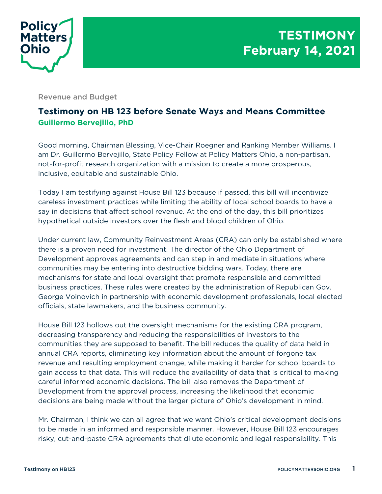

Revenue and Budget

## **Testimony on HB 123 before Senate Ways and Means Committee Guillermo Bervejillo, PhD**

Good morning, Chairman Blessing, Vice-Chair Roegner and Ranking Member Williams. I am Dr. Guillermo Bervejillo, State Policy Fellow at Policy Matters Ohio, a non-partisan, not-for-profit research organization with a mission to create a more prosperous, inclusive, equitable and sustainable Ohio.

Today I am testifying against House Bill 123 because if passed, this bill will incentivize careless investment practices while limiting the ability of local school boards to have a say in decisions that affect school revenue. At the end of the day, this bill prioritizes hypothetical outside investors over the flesh and blood children of Ohio.

Under current law, Community Reinvestment Areas (CRA) can only be established where there is a proven need for investment. The director of the Ohio Department of Development approves agreements and can step in and mediate in situations where communities may be entering into destructive bidding wars. Today, there are mechanisms for state and local oversight that promote responsible and committed business practices. These rules were created by the administration of Republican Gov. George Voinovich in partnership with economic development professionals, local elected officials, state lawmakers, and the business community.

House Bill 123 hollows out the oversight mechanisms for the existing CRA program, decreasing transparency and reducing the responsibilities of investors to the communities they are supposed to benefit. The bill reduces the quality of data held in annual CRA reports, eliminating key information about the amount of forgone tax revenue and resulting employment change, while making it harder for school boards to gain access to that data. This will reduce the availability of data that is critical to making careful informed economic decisions. The bill also removes the Department of Development from the approval process, increasing the likelihood that economic decisions are being made without the larger picture of Ohio's development in mind.

Mr. Chairman, I think we can all agree that we want Ohio's critical development decisions to be made in an informed and responsible manner. However, House Bill 123 encourages risky, cut-and-paste CRA agreements that dilute economic and legal responsibility. This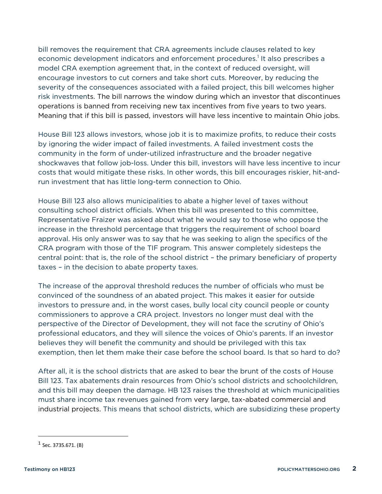bill removes the requirement that CRA agreements include clauses related to key economic development indicators and enforcement procedures.<sup>1</sup> It also prescribes a model CRA exemption agreement that, in the context of reduced oversight, will encourage investors to cut corners and take short cuts. Moreover, by reducing the severity of the consequences associated with a failed project, this bill welcomes higher risk investments. The bill narrows the window during which an investor that discontinues operations is banned from receiving new tax incentives from five years to two years. Meaning that if this bill is passed, investors will have less incentive to maintain Ohio jobs.

House Bill 123 allows investors, whose job it is to maximize profits, to reduce their costs by ignoring the wider impact of failed investments. A failed investment costs the community in the form of under-utilized infrastructure and the broader negative shockwaves that follow job-loss. Under this bill, investors will have less incentive to incur costs that would mitigate these risks. In other words, this bill encourages riskier, hit-andrun investment that has little long-term connection to Ohio.

House Bill 123 also allows municipalities to abate a higher level of taxes without consulting school district officials. When this bill was presented to this committee, Representative Fraizer was asked about what he would say to those who oppose the increase in the threshold percentage that triggers the requirement of school board approval. His only answer was to say that he was seeking to align the specifics of the CRA program with those of the TIF program. This answer completely sidesteps the central point: that is, the role of the school district – the primary beneficiary of property taxes – in the decision to abate property taxes.

The increase of the approval threshold reduces the number of officials who must be convinced of the soundness of an abated project. This makes it easier for outside investors to pressure and, in the worst cases, bully local city council people or county commissioners to approve a CRA project. Investors no longer must deal with the perspective of the Director of Development, they will not face the scrutiny of Ohio's professional educators, and they will silence the voices of Ohio's parents. If an investor believes they will benefit the community and should be privileged with this tax exemption, then let them make their case before the school board. Is that so hard to do?

After all, it is the school districts that are asked to bear the brunt of the costs of House Bill 123. Tax abatements drain resources from Ohio's school districts and schoolchildren, and this bill may deepen the damage. HB 123 raises the threshold at which municipalities must share income tax revenues gained from very large, tax-abated commercial and industrial projects. This means that school districts, which are subsidizing these property

 $<sup>1</sup>$  Sec. 3735.671. (B)</sup>